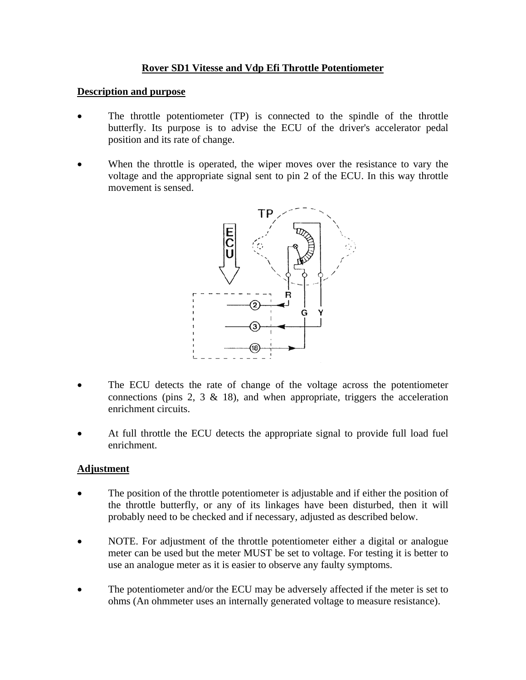### **Rover SD1 Vitesse and Vdp Efi Throttle Potentiometer**

#### **Description and purpose**

- The throttle potentiometer (TP) is connected to the spindle of the throttle butterfly. Its purpose is to advise the ECU of the driver's accelerator pedal position and its rate of change.
- When the throttle is operated, the wiper moves over the resistance to vary the voltage and the appropriate signal sent to pin 2 of the ECU. In this way throttle movement is sensed.



- The ECU detects the rate of change of the voltage across the potentiometer connections (pins 2, 3  $\&$  18), and when appropriate, triggers the acceleration enrichment circuits.
- At full throttle the ECU detects the appropriate signal to provide full load fuel enrichment.

#### **Adjustment**

- The position of the throttle potentiometer is adjustable and if either the position of the throttle butterfly, or any of its linkages have been disturbed, then it will probably need to be checked and if necessary, adjusted as described below.
- NOTE. For adjustment of the throttle potentiometer either a digital or analogue meter can be used but the meter MUST be set to voltage. For testing it is better to use an analogue meter as it is easier to observe any faulty symptoms.
- The potentiometer and/or the ECU may be adversely affected if the meter is set to ohms (An ohmmeter uses an internally generated voltage to measure resistance).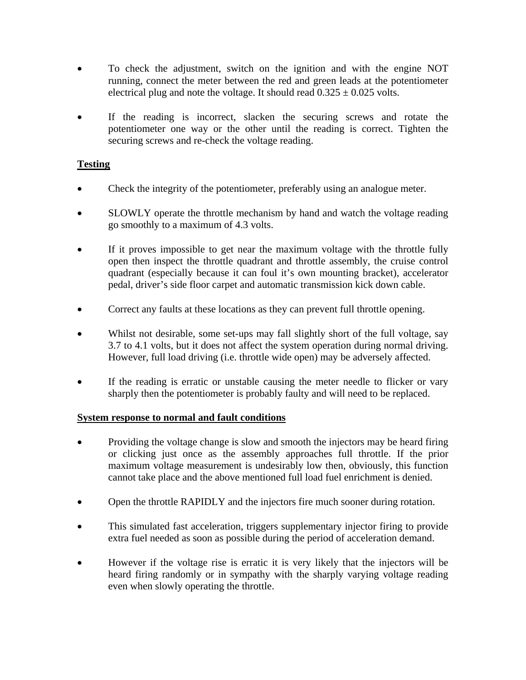- To check the adjustment, switch on the ignition and with the engine NOT running, connect the meter between the red and green leads at the potentiometer electrical plug and note the voltage. It should read  $0.325 \pm 0.025$  volts.
- If the reading is incorrect, slacken the securing screws and rotate the potentiometer one way or the other until the reading is correct. Tighten the securing screws and re-check the voltage reading.

# **Testing**

- Check the integrity of the potentiometer, preferably using an analogue meter.
- SLOWLY operate the throttle mechanism by hand and watch the voltage reading go smoothly to a maximum of 4.3 volts.
- If it proves impossible to get near the maximum voltage with the throttle fully open then inspect the throttle quadrant and throttle assembly, the cruise control quadrant (especially because it can foul it's own mounting bracket), accelerator pedal, driver's side floor carpet and automatic transmission kick down cable.
- Correct any faults at these locations as they can prevent full throttle opening.
- Whilst not desirable, some set-ups may fall slightly short of the full voltage, say 3.7 to 4.1 volts, but it does not affect the system operation during normal driving. However, full load driving (i.e. throttle wide open) may be adversely affected.
- If the reading is erratic or unstable causing the meter needle to flicker or vary sharply then the potentiometer is probably faulty and will need to be replaced.

### **System response to normal and fault conditions**

- Providing the voltage change is slow and smooth the injectors may be heard firing or clicking just once as the assembly approaches full throttle. If the prior maximum voltage measurement is undesirably low then, obviously, this function cannot take place and the above mentioned full load fuel enrichment is denied.
- Open the throttle RAPIDLY and the injectors fire much sooner during rotation.
- This simulated fast acceleration, triggers supplementary injector firing to provide extra fuel needed as soon as possible during the period of acceleration demand.
- However if the voltage rise is erratic it is very likely that the injectors will be heard firing randomly or in sympathy with the sharply varying voltage reading even when slowly operating the throttle.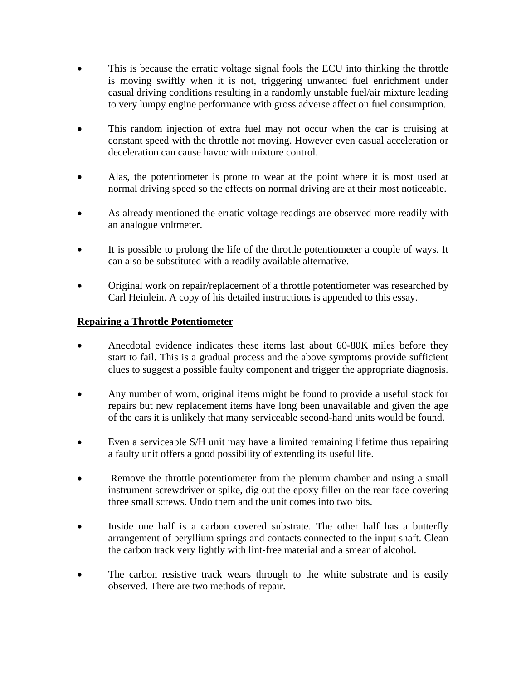- This is because the erratic voltage signal fools the ECU into thinking the throttle is moving swiftly when it is not, triggering unwanted fuel enrichment under casual driving conditions resulting in a randomly unstable fuel/air mixture leading to very lumpy engine performance with gross adverse affect on fuel consumption.
- This random injection of extra fuel may not occur when the car is cruising at constant speed with the throttle not moving. However even casual acceleration or deceleration can cause havoc with mixture control.
- Alas, the potentiometer is prone to wear at the point where it is most used at normal driving speed so the effects on normal driving are at their most noticeable.
- As already mentioned the erratic voltage readings are observed more readily with an analogue voltmeter.
- It is possible to prolong the life of the throttle potentiometer a couple of ways. It can also be substituted with a readily available alternative.
- Original work on repair/replacement of a throttle potentiometer was researched by Carl Heinlein. A copy of his detailed instructions is appended to this essay.

### **Repairing a Throttle Potentiometer**

- Anecdotal evidence indicates these items last about 60-80K miles before they start to fail. This is a gradual process and the above symptoms provide sufficient clues to suggest a possible faulty component and trigger the appropriate diagnosis.
- Any number of worn, original items might be found to provide a useful stock for repairs but new replacement items have long been unavailable and given the age of the cars it is unlikely that many serviceable second-hand units would be found.
- Even a serviceable S/H unit may have a limited remaining lifetime thus repairing a faulty unit offers a good possibility of extending its useful life.
- Remove the throttle potentiometer from the plenum chamber and using a small instrument screwdriver or spike, dig out the epoxy filler on the rear face covering three small screws. Undo them and the unit comes into two bits.
- Inside one half is a carbon covered substrate. The other half has a butterfly arrangement of beryllium springs and contacts connected to the input shaft. Clean the carbon track very lightly with lint-free material and a smear of alcohol.
- The carbon resistive track wears through to the white substrate and is easily observed. There are two methods of repair.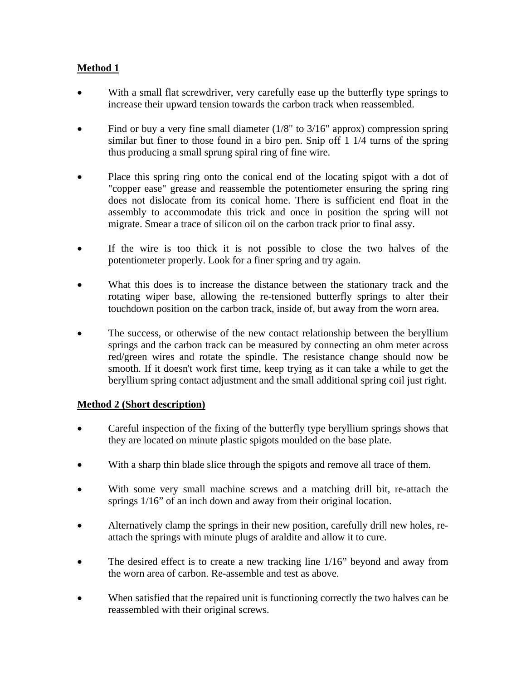# **Method 1**

- With a small flat screwdriver, very carefully ease up the butterfly type springs to increase their upward tension towards the carbon track when reassembled.
- Find or buy a very fine small diameter  $(1/8"$  to  $3/16"$  approx) compression spring similar but finer to those found in a biro pen. Snip off 1 1/4 turns of the spring thus producing a small sprung spiral ring of fine wire.
- Place this spring ring onto the conical end of the locating spigot with a dot of "copper ease" grease and reassemble the potentiometer ensuring the spring ring does not dislocate from its conical home. There is sufficient end float in the assembly to accommodate this trick and once in position the spring will not migrate. Smear a trace of silicon oil on the carbon track prior to final assy.
- If the wire is too thick it is not possible to close the two halves of the potentiometer properly. Look for a finer spring and try again.
- What this does is to increase the distance between the stationary track and the rotating wiper base, allowing the re-tensioned butterfly springs to alter their touchdown position on the carbon track, inside of, but away from the worn area.
- The success, or otherwise of the new contact relationship between the beryllium springs and the carbon track can be measured by connecting an ohm meter across red/green wires and rotate the spindle. The resistance change should now be smooth. If it doesn't work first time, keep trying as it can take a while to get the beryllium spring contact adjustment and the small additional spring coil just right.

### **Method 2 (Short description)**

- Careful inspection of the fixing of the butterfly type beryllium springs shows that they are located on minute plastic spigots moulded on the base plate.
- With a sharp thin blade slice through the spigots and remove all trace of them.
- With some very small machine screws and a matching drill bit, re-attach the springs  $1/16$ " of an inch down and away from their original location.
- Alternatively clamp the springs in their new position, carefully drill new holes, reattach the springs with minute plugs of araldite and allow it to cure.
- The desired effect is to create a new tracking line 1/16" beyond and away from the worn area of carbon. Re-assemble and test as above.
- When satisfied that the repaired unit is functioning correctly the two halves can be reassembled with their original screws.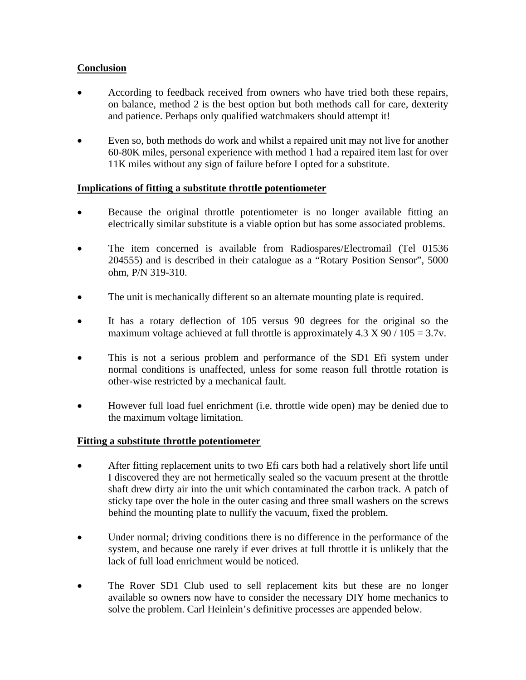# **Conclusion**

- According to feedback received from owners who have tried both these repairs, on balance, method 2 is the best option but both methods call for care, dexterity and patience. Perhaps only qualified watchmakers should attempt it!
- Even so, both methods do work and whilst a repaired unit may not live for another 60-80K miles, personal experience with method 1 had a repaired item last for over 11K miles without any sign of failure before I opted for a substitute.

### **Implications of fitting a substitute throttle potentiometer**

- Because the original throttle potentiometer is no longer available fitting an electrically similar substitute is a viable option but has some associated problems.
- The item concerned is available from Radiospares/Electromail (Tel 01536 204555) and is described in their catalogue as a "Rotary Position Sensor", 5000 ohm, P/N 319-310.
- The unit is mechanically different so an alternate mounting plate is required.
- It has a rotary deflection of 105 versus 90 degrees for the original so the maximum voltage achieved at full throttle is approximately  $4.3 \text{ X } 90 / 105 = 3.7 \text{v}$ .
- This is not a serious problem and performance of the SD1 Efi system under normal conditions is unaffected, unless for some reason full throttle rotation is other-wise restricted by a mechanical fault.
- However full load fuel enrichment (i.e. throttle wide open) may be denied due to the maximum voltage limitation.

### **Fitting a substitute throttle potentiometer**

- After fitting replacement units to two Efi cars both had a relatively short life until I discovered they are not hermetically sealed so the vacuum present at the throttle shaft drew dirty air into the unit which contaminated the carbon track. A patch of sticky tape over the hole in the outer casing and three small washers on the screws behind the mounting plate to nullify the vacuum, fixed the problem.
- Under normal; driving conditions there is no difference in the performance of the system, and because one rarely if ever drives at full throttle it is unlikely that the lack of full load enrichment would be noticed.
- The Rover SD1 Club used to sell replacement kits but these are no longer available so owners now have to consider the necessary DIY home mechanics to solve the problem. Carl Heinlein's definitive processes are appended below.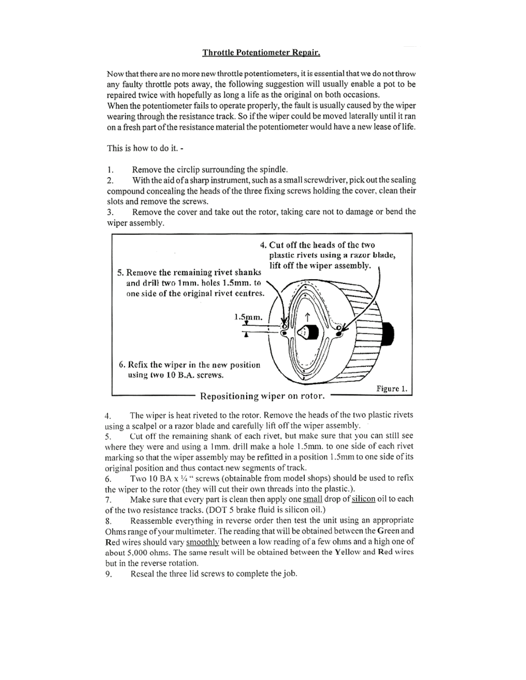#### Throttle Potentiometer Repair.

Now that there are no more new throttle potentiometers, it is essential that we do not throw any faulty throttle pots away, the following suggestion will usually enable a pot to be repaired twice with hopefully as long a life as the original on both occasions.

When the potentiometer fails to operate properly, the fault is usually caused by the wiper wearing through the resistance track. So if the wiper could be moved laterally until it ran on a fresh part of the resistance material the potentiometer would have a new lease of life.

This is how to do it. -

1. Remove the circlip surrounding the spindle.

With the aid of a sharp instrument, such as a small screwdriver, pick out the sealing  $\overline{2}$ . compound concealing the heads of the three fixing screws holding the cover, clean their slots and remove the screws.

Remove the cover and take out the rotor, taking care not to damage or bend the 3. wiper assembly.



The wiper is heat riveted to the rotor. Remove the heads of the two plastic rivets 4. using a scalpel or a razor blade and carefully lift off the wiper assembly.

Cut off the remaining shank of each rivet, but make sure that you can still see 5. where they were and using a 1mm, drill make a hole 1.5mm, to one side of each rivet marking so that the wiper assembly may be refitted in a position 1.5mm to one side of its original position and thus contact new segments of track.

Two 10 BA  $x \frac{1}{4}$ " screws (obtainable from model shops) should be used to refix 6. the wiper to the rotor (they will cut their own threads into the plastic.).

Make sure that every part is clean then apply one small drop of silicon oil to each 7. of the two resistance tracks. (DOT 5 brake fluid is silicon oil.)

Reassemble everything in reverse order then test the unit using an appropriate 8. Ohms range of your multimeter. The reading that will be obtained between the Green and Red wires should vary smoothly between a low reading of a few ohms and a high one of about 5,000 ohms. The same result will be obtained between the Yellow and Red wires but in the reverse rotation.

Reseal the three lid screws to complete the job. 9.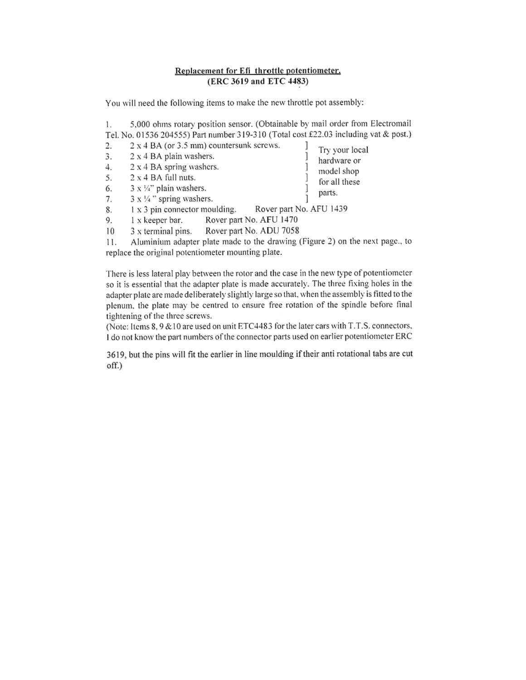#### Replacement for Efi throttle potentiometer. (ERC 3619 and ETC 4483)

You will need the following items to make the new throttle pot assembly:

5,000 ohms rotary position sensor. (Obtainable by mail order from Electromail 1. Tel. No. 01536 204555) Part number 319-310 (Total cost £22.03 including vat & post.)

1

1

1

1

1

Try your local

hardware or

model shop

for all these

parts.

- $2.$ 2 x 4 BA (or 3.5 mm) countersunk screws.
- 2 x 4 BA plain washers. 3.
- 2 x 4 BA spring washers. 4.
- $2 \times 4$  BA full nuts. 5.
- $3 \times \frac{1}{4}$ " plain washers. 6.
- $3 \times \frac{1}{4}$ " spring washers. 7.
- 1 x 3 pin connector moulding. Rover part No. AFU 1439 8.
- Rover part No. AFU 1470 9. 1 x keeper bar.
- $10<sup>°</sup>$ 3 x terminal pins. Rover part No. ADU 7058
- Aluminium adapter plate made to the drawing (Figure 2) on the next page., to 11. replace the original potentiometer mounting plate.

There is less lateral play between the rotor and the case in the new type of potentiometer so it is essential that the adapter plate is made accurately. The three fixing holes in the adapter plate are made deliberately slightly large so that, when the assembly is fitted to the plenum, the plate may be centred to ensure free rotation of the spindle before final tightening of the three screws.

(Note: Items 8, 9 & 10 are used on unit ETC4483 for the later cars with T.T.S. connectors, I do not know the part numbers of the connector parts used on earlier potentiometer ERC

3619, but the pins will fit the earlier in line moulding if their anti rotational tabs are cut off.)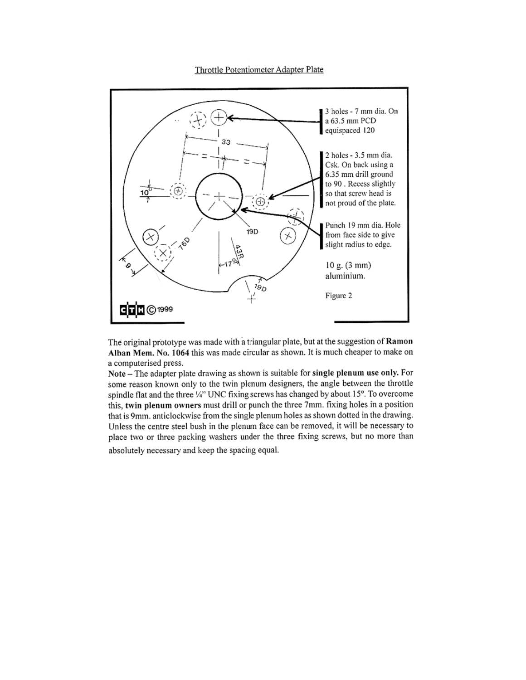Throttle Potentiometer Adapter Plate



The original prototype was made with a triangular plate, but at the suggestion of Ramon Alban Mem. No. 1064 this was made circular as shown. It is much cheaper to make on a computerised press.

Note - The adapter plate drawing as shown is suitable for single plenum use only. For some reason known only to the twin plenum designers, the angle between the throttle spindle flat and the three 'A" UNC fixing screws has changed by about 15°. To overcome this, twin plenum owners must drill or punch the three 7mm. fixing holes in a position that is 9mm. anticlockwise from the single plenum holes as shown dotted in the drawing. Unless the centre steel bush in the plenum face can be removed, it will be necessary to place two or three packing washers under the three fixing screws, but no more than

absolutely necessary and keep the spacing equal.